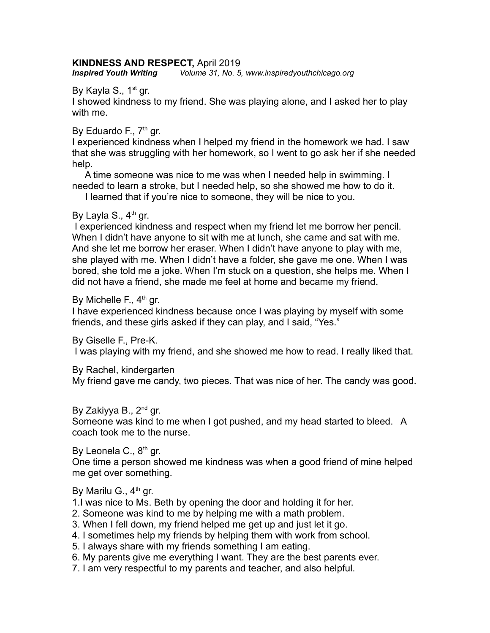## **KINDNESS AND RESPECT,** April 2019

*Inspired Youth Writing**Volume 31, No. 5, www.inspiredyouthchicago.org*

By Kayla S.,  $1<sup>st</sup>$  gr.

I showed kindness to my friend. She was playing alone, and I asked her to play with me.

### By Eduardo F.,  $7<sup>th</sup>$  gr.

I experienced kindness when I helped my friend in the homework we had. I saw that she was struggling with her homework, so I went to go ask her if she needed help.

 A time someone was nice to me was when I needed help in swimming. I needed to learn a stroke, but I needed help, so she showed me how to do it.

I learned that if you're nice to someone, they will be nice to you.

## By Layla S.,  $4<sup>th</sup>$  gr.

 I experienced kindness and respect when my friend let me borrow her pencil. When I didn't have anyone to sit with me at lunch, she came and sat with me. And she let me borrow her eraser. When I didn't have anyone to play with me, she played with me. When I didn't have a folder, she gave me one. When I was bored, she told me a joke. When I'm stuck on a question, she helps me. When I did not have a friend, she made me feel at home and became my friend.

By Michelle F.,  $4<sup>th</sup>$  gr.

I have experienced kindness because once I was playing by myself with some friends, and these girls asked if they can play, and I said, "Yes."

By Giselle F., Pre-K.

I was playing with my friend, and she showed me how to read. I really liked that.

By Rachel, kindergarten

My friend gave me candy, two pieces. That was nice of her. The candy was good.

# By Zakiyya B., 2<sup>nd</sup> gr.

Someone was kind to me when I got pushed, and my head started to bleed. A coach took me to the nurse.

By Leonela C.,  $8<sup>th</sup>$  gr. One time a person showed me kindness was when a good friend of mine helped me get over something.

# By Marilu G.,  $4<sup>th</sup>$  gr.

1.I was nice to Ms. Beth by opening the door and holding it for her.

- 2. Someone was kind to me by helping me with a math problem.
- 3. When I fell down, my friend helped me get up and just let it go.
- 4. I sometimes help my friends by helping them with work from school.
- 5. I always share with my friends something I am eating.
- 6. My parents give me everything I want. They are the best parents ever.
- 7. I am very respectful to my parents and teacher, and also helpful.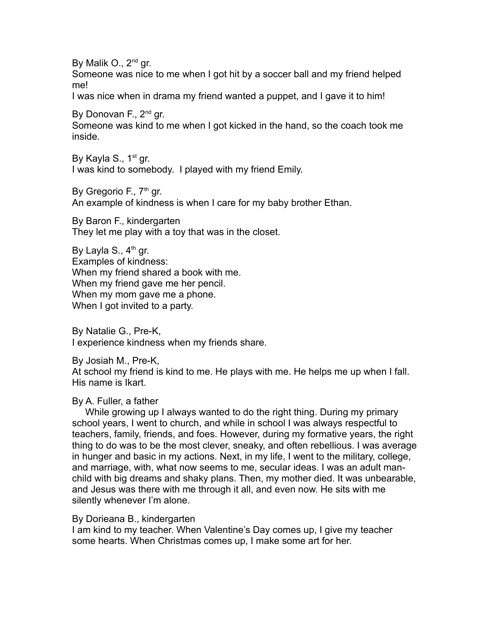By Malik O., 2<sup>nd</sup> gr. Someone was nice to me when I got hit by a soccer ball and my friend helped me!

I was nice when in drama my friend wanted a puppet, and I gave it to him!

By Donovan F., 2<sup>nd</sup> gr.

Someone was kind to me when I got kicked in the hand, so the coach took me inside.

By Kayla S.,  $1<sup>st</sup>$  gr. I was kind to somebody. I played with my friend Emily.

By Gregorio F.,  $7<sup>th</sup>$  gr.

An example of kindness is when I care for my baby brother Ethan.

By Baron F., kindergarten They let me play with a toy that was in the closet.

By Layla S.,  $4<sup>th</sup>$  gr. Examples of kindness: When my friend shared a book with me. When my friend gave me her pencil. When my mom gave me a phone. When I got invited to a party.

By Natalie G., Pre-K, I experience kindness when my friends share.

By Josiah M., Pre-K, At school my friend is kind to me. He plays with me. He helps me up when I fall. His name is Ikart.

#### By A. Fuller, a father

 While growing up I always wanted to do the right thing. During my primary school years, I went to church, and while in school I was always respectful to teachers, family, friends, and foes. However, during my formative years, the right thing to do was to be the most clever, sneaky, and often rebellious. I was average in hunger and basic in my actions. Next, in my life, I went to the military, college, and marriage, with, what now seems to me, secular ideas. I was an adult manchild with big dreams and shaky plans. Then, my mother died. It was unbearable, and Jesus was there with me through it all, and even now. He sits with me silently whenever I'm alone.

#### By Dorieana B., kindergarten

I am kind to my teacher. When Valentine's Day comes up, I give my teacher some hearts. When Christmas comes up, I make some art for her.